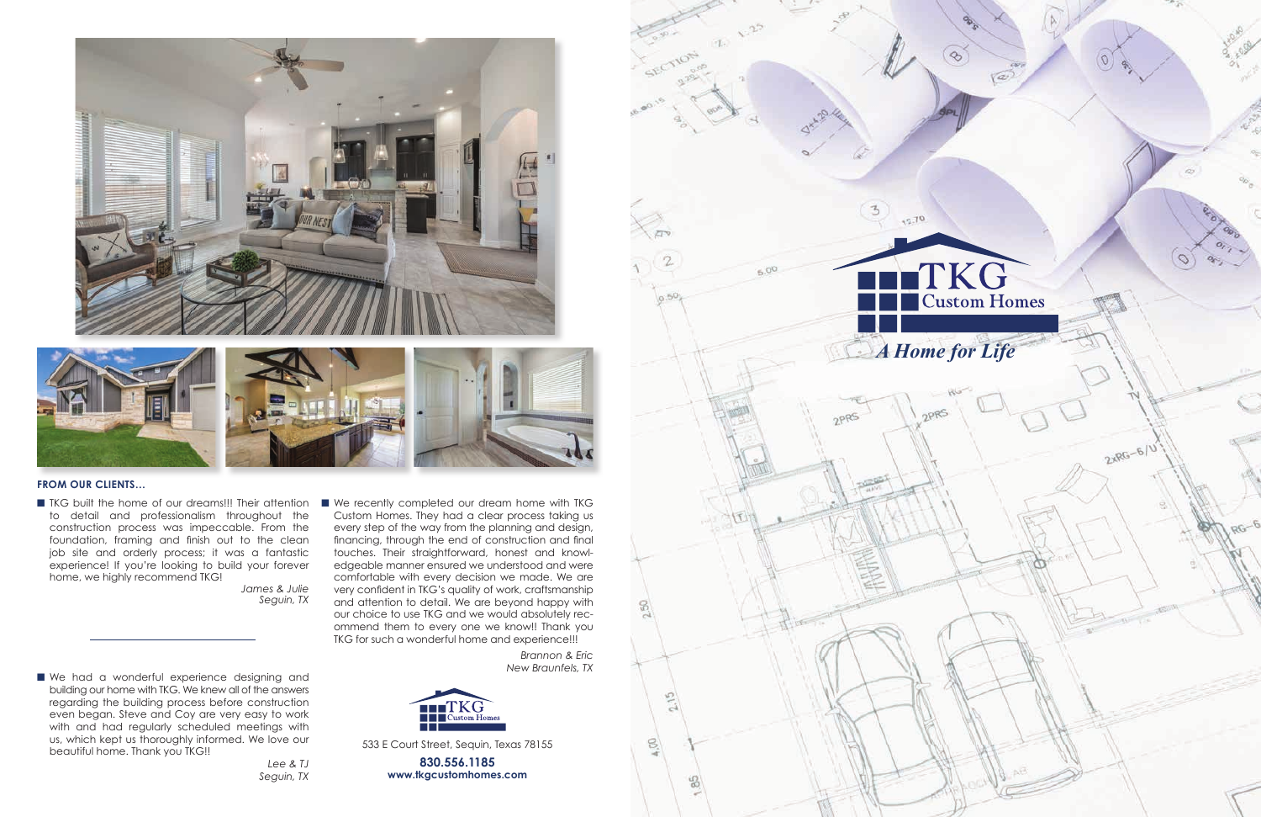

#### **FROM OUR CLIENTS…**

■ TKG built the home of our dreams!!! Their attention to detail and professionalism throughout the construction process was impeccable. From the foundation, framing and finish out to the clean job site and orderly process; it was a fantastic experience! If you're looking to build your forever home, we highly recommend TKG!

■ We had a wonderful experience designing and building our home with TKG. We knew all of the answers regarding the building process before construction even began. Steve and Coy are very easy to work with and had regularly scheduled meetings with us, which kept us thoroughly informed. We love our beautiful home. Thank you TKG!!

*James & Julie Seguin, TX* ■ We recently completed our dream home with TKG Custom Homes. They had a clear process taking us every step of the way from the planning and design, financing, through the end of construction and final touches. Their straightforward, honest and knowledgeable manner ensured we understood and were comfortable with every decision we made. We are very confident in TKG's quality of work, craftsmanship and attention to detail. We are beyond happy with our choice to use TKG and we would absolutely recommend them to every one we know!! Thank you TKG for such a wonderful home and experience!!!

*Lee & TJ Seguin, TX*

*Brannon & Eric New Braunfels, TX*





533 E Court Street, Sequin, Texas 78155

**830.556.1185 www.tkgcustomhomes.com**